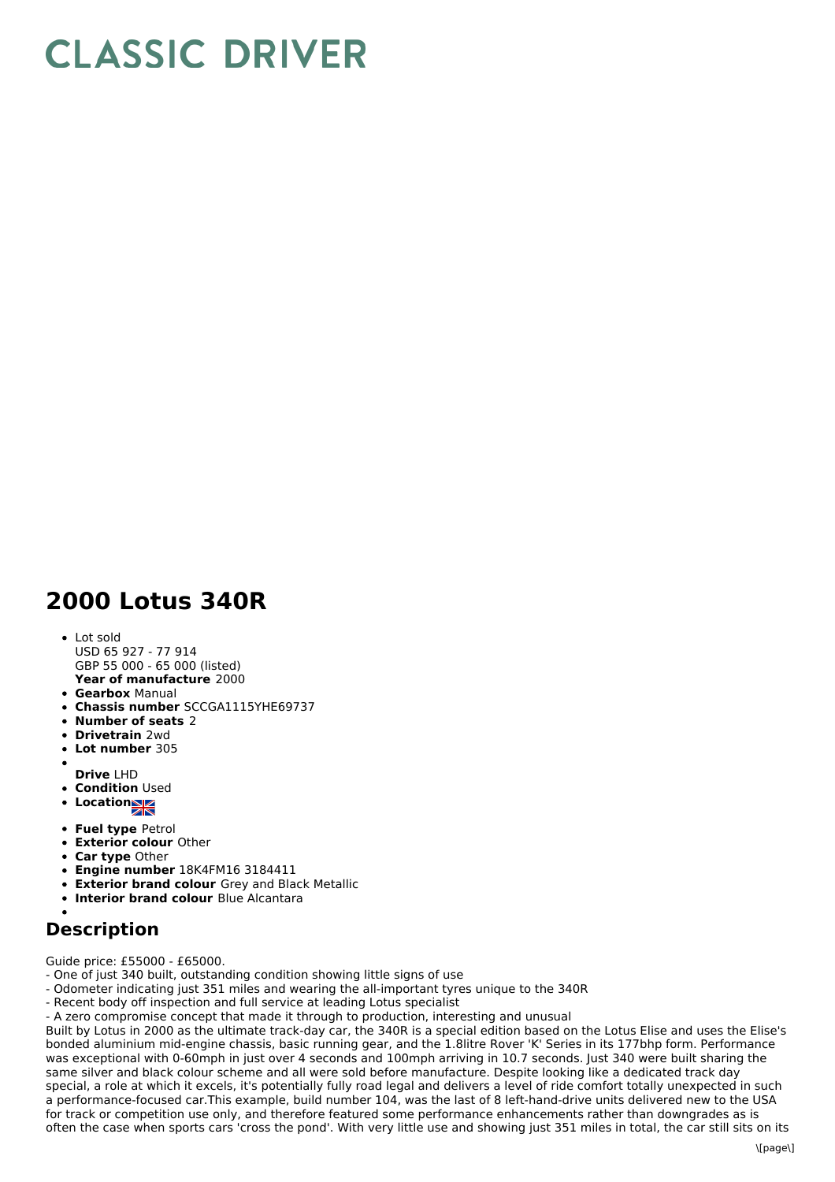## **CLASSIC DRIVER**

## **2000 Lotus 340R**

**Year of manufacture** 2000 Lot sold USD 65 927 - 77 914 GBP 55 000 - 65 000 (listed)

- **Gearbox** Manual
- **Chassis number** SCCGA1115YHE69737
- **Number of seats** 2
- **Drivetrain** 2wd
- **Lot number** 305
- **Drive** LHD
- **Condition Used**
- **Location**
- 
- **Fuel type** Petrol
- **Exterior colour** Other
- **Car type** Other
- **Engine number** 18K4FM16 3184411
- **Exterior brand colour** Grey and Black Metallic
- **Interior brand colour** Blue Alcantara

## **Description**

Guide price: £55000 - £65000.

- One of just 340 built, outstanding condition showing little signs of use
- Odometer indicating just 351 miles and wearing the all-important tyres unique to the 340R
- Recent body off inspection and full service at leading Lotus specialist
- A zero compromise concept that made it through to production, interesting and unusual

Built by Lotus in 2000 as the ultimate track-day car, the 340R is a special edition based on the Lotus Elise and uses the Elise's bonded aluminium mid-engine chassis, basic running gear, and the 1.8litre Rover 'K' Series in its 177bhp form. Performance was exceptional with 0-60mph in just over 4 seconds and 100mph arriving in 10.7 seconds. Just 340 were built sharing the same silver and black colour scheme and all were sold before manufacture. Despite looking like a dedicated track day special, a role at which it excels, it's potentially fully road legal and delivers a level of ride comfort totally unexpected in such a performance-focused car.This example, build number 104, was the last of 8 left-hand-drive units delivered new to the USA for track or competition use only, and therefore featured some performance enhancements rather than downgrades as is often the case when sports cars 'cross the pond'. With very little use and showing just 351 miles in total, the car still sits on its